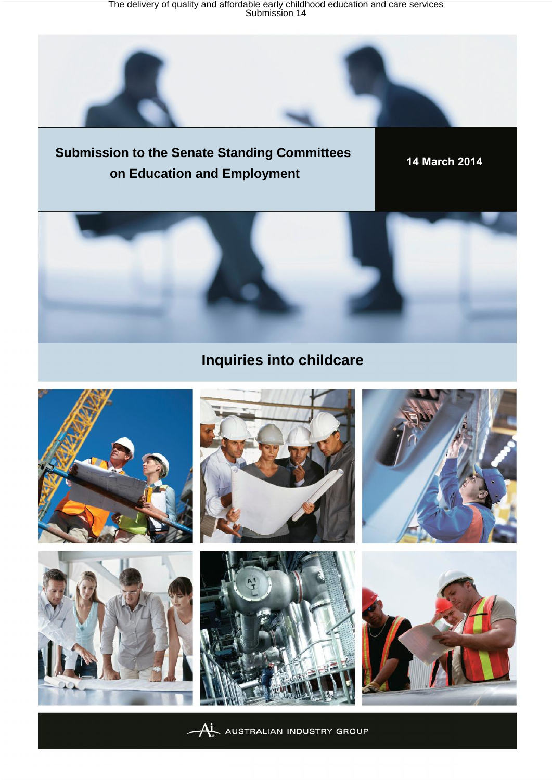The delivery of quality and affordable early childhood education and care services Submission 14

## **Submission to the Senate Standing Committees on Education and Employment**

**14 March 2014**



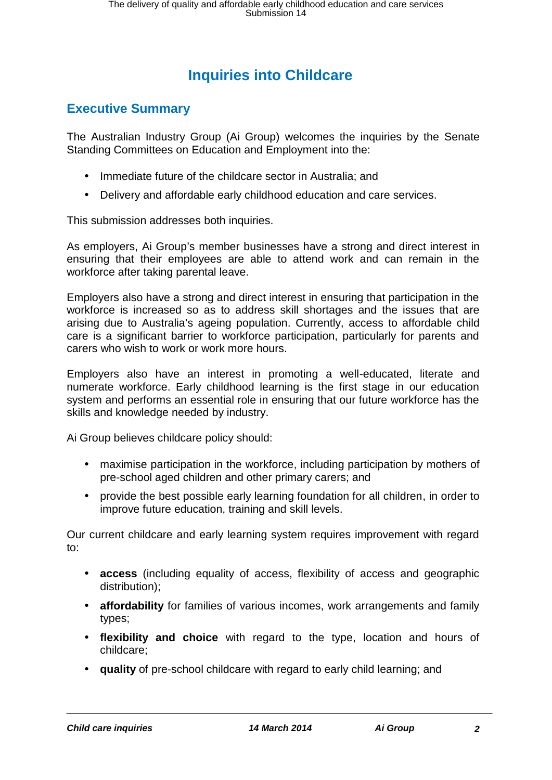## **Inquiries into Childcare**

## **Executive Summary**

The Australian Industry Group (Ai Group) welcomes the inquiries by the Senate Standing Committees on Education and Employment into the:

- Immediate future of the childcare sector in Australia; and
- Delivery and affordable early childhood education and care services.

This submission addresses both inquiries.

As employers, Ai Group's member businesses have a strong and direct interest in ensuring that their employees are able to attend work and can remain in the workforce after taking parental leave.

Employers also have a strong and direct interest in ensuring that participation in the workforce is increased so as to address skill shortages and the issues that are arising due to Australia's ageing population. Currently, access to affordable child care is a significant barrier to workforce participation, particularly for parents and carers who wish to work or work more hours.

Employers also have an interest in promoting a well-educated, literate and numerate workforce. Early childhood learning is the first stage in our education system and performs an essential role in ensuring that our future workforce has the skills and knowledge needed by industry.

Ai Group believes childcare policy should:

- maximise participation in the workforce, including participation by mothers of pre-school aged children and other primary carers; and
- provide the best possible early learning foundation for all children, in order to improve future education, training and skill levels.

Our current childcare and early learning system requires improvement with regard to:

- **access** (including equality of access, flexibility of access and geographic distribution);
- **affordability** for families of various incomes, work arrangements and family types;
- **flexibility and choice** with regard to the type, location and hours of childcare;
- **quality** of pre-school childcare with regard to early child learning; and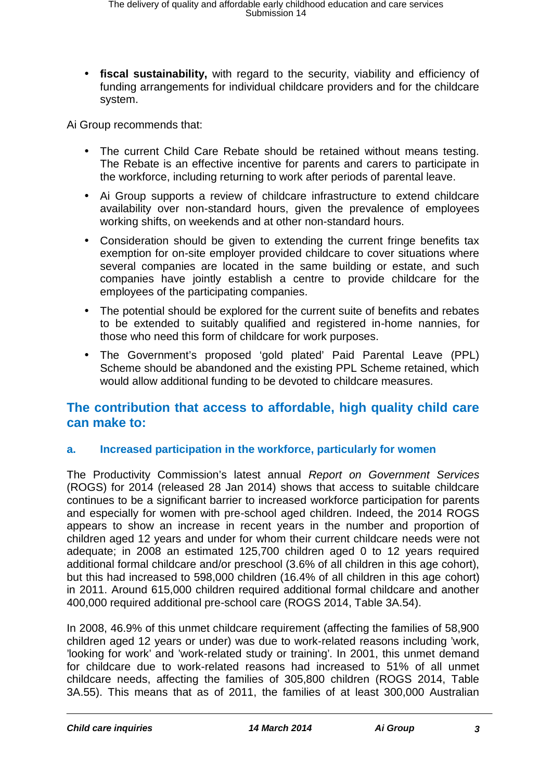**fiscal sustainability,** with regard to the security, viability and efficiency of funding arrangements for individual childcare providers and for the childcare system.

Ai Group recommends that:

- The current Child Care Rebate should be retained without means testing. The Rebate is an effective incentive for parents and carers to participate in the workforce, including returning to work after periods of parental leave.
- Ai Group supports a review of childcare infrastructure to extend childcare availability over non-standard hours, given the prevalence of employees working shifts, on weekends and at other non-standard hours.
- Consideration should be given to extending the current fringe benefits tax exemption for on-site employer provided childcare to cover situations where several companies are located in the same building or estate, and such companies have jointly establish a centre to provide childcare for the employees of the participating companies.
- The potential should be explored for the current suite of benefits and rebates to be extended to suitably qualified and registered in-home nannies, for those who need this form of childcare for work purposes.
- The Government's proposed 'gold plated' Paid Parental Leave (PPL) Scheme should be abandoned and the existing PPL Scheme retained, which would allow additional funding to be devoted to childcare measures.

## **The contribution that access to affordable, high quality child care can make to:**

## **a. Increased participation in the workforce, particularly for women**

The Productivity Commission's latest annual *Report on Government Services* (ROGS) for 2014 (released 28 Jan 2014) shows that access to suitable childcare continues to be a significant barrier to increased workforce participation for parents and especially for women with pre-school aged children. Indeed, the 2014 ROGS appears to show an increase in recent years in the number and proportion of children aged 12 years and under for whom their current childcare needs were not adequate; in 2008 an estimated 125,700 children aged 0 to 12 years required additional formal childcare and/or preschool (3.6% of all children in this age cohort), but this had increased to 598,000 children (16.4% of all children in this age cohort) in 2011. Around 615,000 children required additional formal childcare and another 400,000 required additional pre-school care (ROGS 2014, Table 3A.54).

In 2008, 46.9% of this unmet childcare requirement (affecting the families of 58,900 children aged 12 years or under) was due to work-related reasons including 'work, 'looking for work' and 'work-related study or training'. In 2001, this unmet demand for childcare due to work-related reasons had increased to 51% of all unmet childcare needs, affecting the families of 305,800 children (ROGS 2014, Table 3A.55). This means that as of 2011, the families of at least 300,000 Australian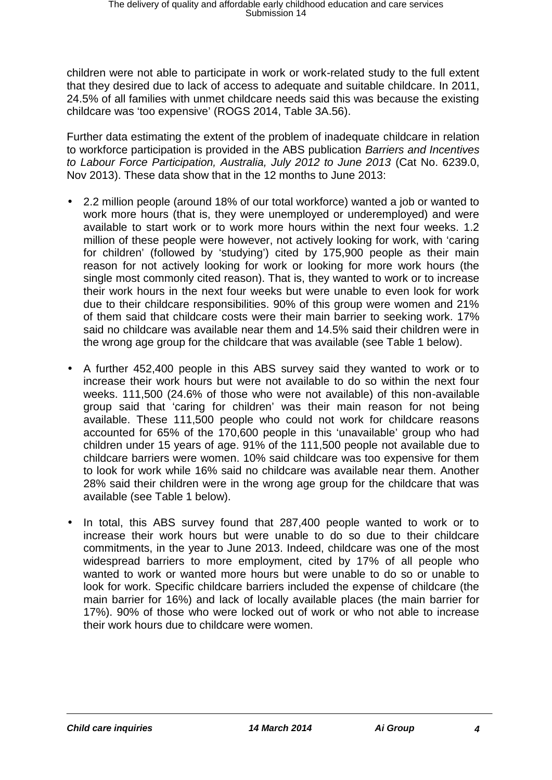children were not able to participate in work or work-related study to the full extent that they desired due to lack of access to adequate and suitable childcare. In 2011, 24.5% of all families with unmet childcare needs said this was because the existing childcare was 'too expensive' (ROGS 2014, Table 3A.56).

Further data estimating the extent of the problem of inadequate childcare in relation to workforce participation is provided in the ABS publication *Barriers and Incentives to Labour Force Participation, Australia, July 2012 to June 2013* (Cat No. 6239.0, Nov 2013). These data show that in the 12 months to June 2013:

- 2.2 million people (around 18% of our total workforce) wanted a job or wanted to work more hours (that is, they were unemployed or underemployed) and were available to start work or to work more hours within the next four weeks. 1.2 million of these people were however, not actively looking for work, with 'caring for children' (followed by 'studying') cited by 175,900 people as their main reason for not actively looking for work or looking for more work hours (the single most commonly cited reason). That is, they wanted to work or to increase their work hours in the next four weeks but were unable to even look for work due to their childcare responsibilities. 90% of this group were women and 21% of them said that childcare costs were their main barrier to seeking work. 17% said no childcare was available near them and 14.5% said their children were in the wrong age group for the childcare that was available (see Table 1 below).
- A further 452,400 people in this ABS survey said they wanted to work or to increase their work hours but were not available to do so within the next four weeks. 111,500 (24.6% of those who were not available) of this non-available group said that 'caring for children' was their main reason for not being available. These 111,500 people who could not work for childcare reasons accounted for 65% of the 170,600 people in this 'unavailable' group who had children under 15 years of age. 91% of the 111,500 people not available due to childcare barriers were women. 10% said childcare was too expensive for them to look for work while 16% said no childcare was available near them. Another 28% said their children were in the wrong age group for the childcare that was available (see Table 1 below).
- In total, this ABS survey found that 287,400 people wanted to work or to increase their work hours but were unable to do so due to their childcare commitments, in the year to June 2013. Indeed, childcare was one of the most widespread barriers to more employment, cited by 17% of all people who wanted to work or wanted more hours but were unable to do so or unable to look for work. Specific childcare barriers included the expense of childcare (the main barrier for 16%) and lack of locally available places (the main barrier for 17%). 90% of those who were locked out of work or who not able to increase their work hours due to childcare were women.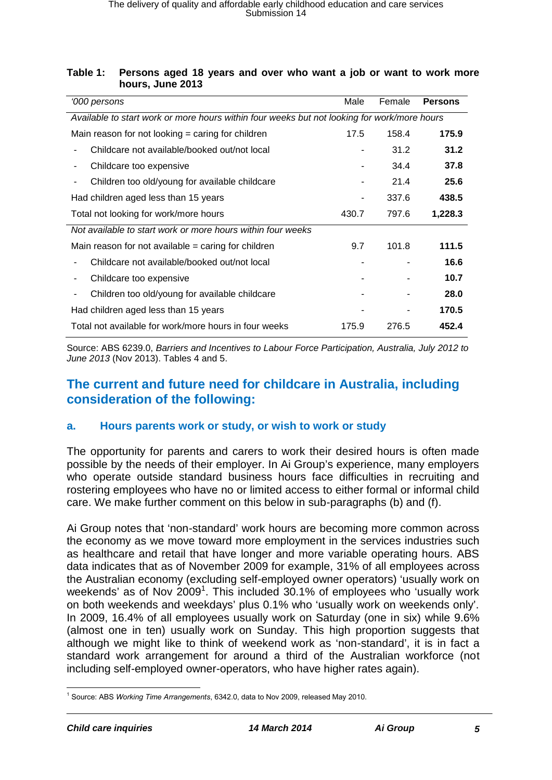### **Table 1: Persons aged 18 years and over who want a job or want to work more hours, June 2013**

| '000 persons                                                                                | Male  | Female | <b>Persons</b> |
|---------------------------------------------------------------------------------------------|-------|--------|----------------|
| Available to start work or more hours within four weeks but not looking for work/more hours |       |        |                |
| Main reason for not looking $=$ caring for children                                         | 17.5  | 158.4  | 175.9          |
| Childcare not available/booked out/not local                                                | -     | 31.2   | 31.2           |
| Childcare too expensive<br>۰                                                                |       | 34.4   | 37.8           |
| Children too old/young for available childcare                                              |       | 21.4   | 25.6           |
| Had children aged less than 15 years                                                        |       | 337.6  | 438.5          |
| Total not looking for work/more hours                                                       | 430.7 | 797.6  | 1,228.3        |
| Not available to start work or more hours within four weeks                                 |       |        |                |
| Main reason for not available $=$ caring for children                                       | 9.7   | 101.8  | 111.5          |
| Childcare not available/booked out/not local                                                |       |        | 16.6           |
| Childcare too expensive                                                                     |       |        | 10.7           |
| Children too old/young for available childcare<br>۰                                         |       |        | 28.0           |
| Had children aged less than 15 years                                                        |       |        | 170.5          |
| Total not available for work/more hours in four weeks                                       | 175.9 | 276.5  | 452.4          |

Source: ABS 6239.0, *Barriers and Incentives to Labour Force Participation, Australia, July 2012 to June 2013* (Nov 2013). Tables 4 and 5.

## **The current and future need for childcare in Australia, including consideration of the following:**

## **a. Hours parents work or study, or wish to work or study**

The opportunity for parents and carers to work their desired hours is often made possible by the needs of their employer. In Ai Group's experience, many employers who operate outside standard business hours face difficulties in recruiting and rostering employees who have no or limited access to either formal or informal child care. We make further comment on this below in sub-paragraphs (b) and (f).

Ai Group notes that 'non-standard' work hours are becoming more common across the economy as we move toward more employment in the services industries such as healthcare and retail that have longer and more variable operating hours. ABS data indicates that as of November 2009 for example, 31% of all employees across the Australian economy (excluding self-employed owner operators) 'usually work on weekends' as of Nov 2009<sup>1</sup>. This included 30.1% of employees who 'usually work on both weekends and weekdays' plus 0.1% who 'usually work on weekends only'. In 2009, 16.4% of all employees usually work on Saturday (one in six) while 9.6% (almost one in ten) usually work on Sunday. This high proportion suggests that although we might like to think of weekend work as 'non-standard', it is in fact a standard work arrangement for around a third of the Australian workforce (not including self-employed owner-operators, who have higher rates again).

<sup>1</sup> Source: ABS *Working Time Arrangements*, 6342.0, data to Nov 2009, released May 2010.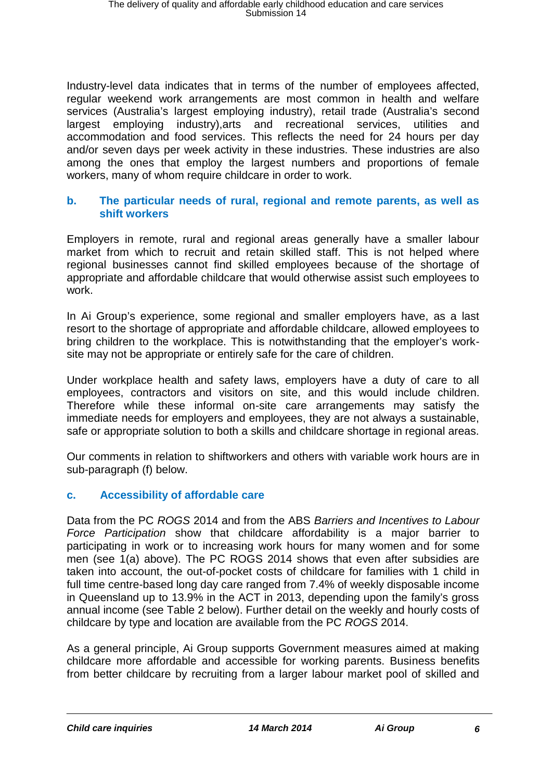Industry-level data indicates that in terms of the number of employees affected, regular weekend work arrangements are most common in health and welfare services (Australia's largest employing industry), retail trade (Australia's second largest employing industry),arts and recreational services, utilities and accommodation and food services. This reflects the need for 24 hours per day and/or seven days per week activity in these industries. These industries are also among the ones that employ the largest numbers and proportions of female workers, many of whom require childcare in order to work.

## **b. The particular needs of rural, regional and remote parents, as well as shift workers**

Employers in remote, rural and regional areas generally have a smaller labour market from which to recruit and retain skilled staff. This is not helped where regional businesses cannot find skilled employees because of the shortage of appropriate and affordable childcare that would otherwise assist such employees to work.

In Ai Group's experience, some regional and smaller employers have, as a last resort to the shortage of appropriate and affordable childcare, allowed employees to bring children to the workplace. This is notwithstanding that the employer's work site may not be appropriate or entirely safe for the care of children.

Under workplace health and safety laws, employers have a duty of care to all employees, contractors and visitors on site, and this would include children. Therefore while these informal on-site care arrangements may satisfy the immediate needs for employers and employees, they are not always a sustainable, safe or appropriate solution to both a skills and childcare shortage in regional areas.

Our comments in relation to shiftworkers and others with variable work hours are in sub-paragraph (f) below.

## **c. Accessibility of affordable care**

Data from the PC *ROGS* 2014 and from the ABS *Barriers and Incentives to Labour Force Participation* show that childcare affordability is a major barrier to participating in work or to increasing work hours for many women and for some men (see 1(a) above). The PC ROGS 2014 shows that even after subsidies are taken into account, the out-of-pocket costs of childcare for families with 1 child in full time centre-based long day care ranged from 7.4% of weekly disposable income in Queensland up to 13.9% in the ACT in 2013, depending upon the family's gross annual income (see Table 2 below). Further detail on the weekly and hourly costs of childcare by type and location are available from the PC *ROGS* 2014.

As a general principle, Ai Group supports Government measures aimed at making childcare more affordable and accessible for working parents. Business benefits from better childcare by recruiting from a larger labour market pool of skilled and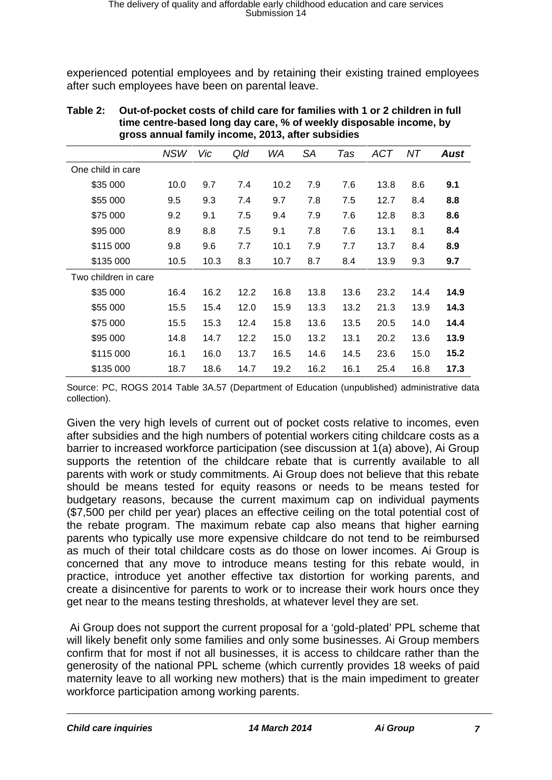experienced potential employees and by retaining their existing trained employees after such employees have been on parental leave.

| J.                   |            |      |      |           |           |      |            |      |      |
|----------------------|------------|------|------|-----------|-----------|------|------------|------|------|
|                      | <b>NSW</b> | Vic  | Qld  | <b>WA</b> | <b>SA</b> | Tas  | <b>ACT</b> | NT   | Aust |
| One child in care    |            |      |      |           |           |      |            |      |      |
| \$35 000             | 10.0       | 9.7  | 7.4  | 10.2      | 7.9       | 7.6  | 13.8       | 8.6  | 9.1  |
| \$55 000             | 9.5        | 9.3  | 7.4  | 9.7       | 7.8       | 7.5  | 12.7       | 8.4  | 8.8  |
| \$75 000             | 9.2        | 9.1  | 7.5  | 9.4       | 7.9       | 7.6  | 12.8       | 8.3  | 8.6  |
| \$95 000             | 8.9        | 8.8  | 7.5  | 9.1       | 7.8       | 7.6  | 13.1       | 8.1  | 8.4  |
| \$115 000            | 9.8        | 9.6  | 7.7  | 10.1      | 7.9       | 7.7  | 13.7       | 8.4  | 8.9  |
| \$135 000            | 10.5       | 10.3 | 8.3  | 10.7      | 8.7       | 8.4  | 13.9       | 9.3  | 9.7  |
| Two children in care |            |      |      |           |           |      |            |      |      |
| \$35 000             | 16.4       | 16.2 | 12.2 | 16.8      | 13.8      | 13.6 | 23.2       | 14.4 | 14.9 |
| \$55 000             | 15.5       | 15.4 | 12.0 | 15.9      | 13.3      | 13.2 | 21.3       | 13.9 | 14.3 |
| \$75 000             | 15.5       | 15.3 | 12.4 | 15.8      | 13.6      | 13.5 | 20.5       | 14.0 | 14.4 |
| \$95 000             | 14.8       | 14.7 | 12.2 | 15.0      | 13.2      | 13.1 | 20.2       | 13.6 | 13.9 |
| \$115 000            | 16.1       | 16.0 | 13.7 | 16.5      | 14.6      | 14.5 | 23.6       | 15.0 | 15.2 |
| \$135 000            | 18.7       | 18.6 | 14.7 | 19.2      | 16.2      | 16.1 | 25.4       | 16.8 | 17.3 |

### **Table 2: Out-of-pocket costs of child care for families with 1 or 2 children in full time centre-based long day care, % of weekly disposable income, by gross annual family income, 2013, after subsidies**

Source: PC, ROGS 2014 Table 3A.57 (Department of Education (unpublished) administrative data collection).

Given the very high levels of current out of pocket costs relative to incomes, even after subsidies and the high numbers of potential workers citing childcare costs as a barrier to increased workforce participation (see discussion at 1(a) above), Ai Group supports the retention of the childcare rebate that is currently available to all parents with work or study commitments. Ai Group does not believe that this rebate should be means tested for equity reasons or needs to be means tested for budgetary reasons, because the current maximum cap on individual payments (\$7,500 per child per year) places an effective ceiling on the total potential cost of the rebate program. The maximum rebate cap also means that higher earning parents who typically use more expensive childcare do not tend to be reimbursed as much of their total childcare costs as do those on lower incomes. Ai Group is concerned that any move to introduce means testing for this rebate would, in practice, introduce yet another effective tax distortion for working parents, and create a disincentive for parents to work or to increase their work hours once they get near to the means testing thresholds, at whatever level they are set.

Ai Group does not support the current proposal for a 'gold-plated' PPL scheme that will likely benefit only some families and only some businesses. Ai Group members confirm that for most if not all businesses, it is access to childcare rather than the generosity of the national PPL scheme (which currently provides 18 weeks of paid maternity leave to all working new mothers) that is the main impediment to greater workforce participation among working parents.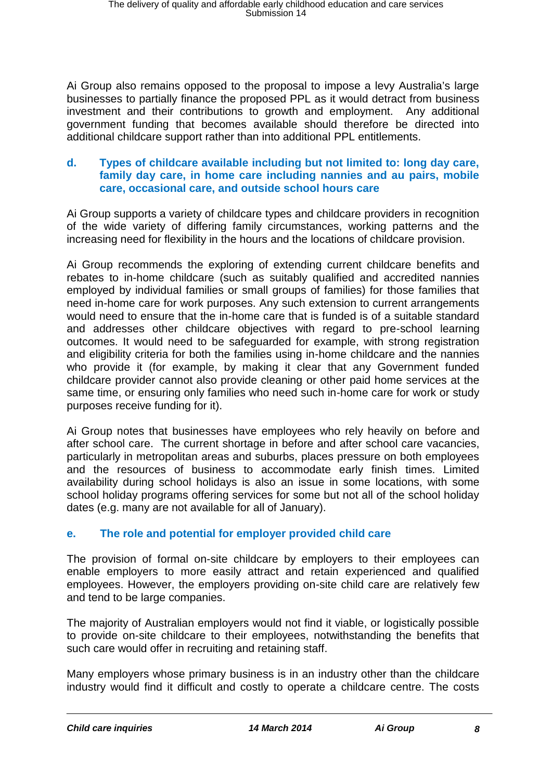Ai Group also remains opposed to the proposal to impose a levy Australia's large businesses to partially finance the proposed PPL as it would detract from business investment and their contributions to growth and employment. Any additional government funding that becomes available should therefore be directed into additional childcare support rather than into additional PPL entitlements.

## **d. Types of childcare available including but not limited to: long day care, family day care, in home care including nannies and au pairs, mobile care, occasional care, and outside school hours care**

Ai Group supports a variety of childcare types and childcare providers in recognition of the wide variety of differing family circumstances, working patterns and the increasing need for flexibility in the hours and the locations of childcare provision.

Ai Group recommends the exploring of extending current childcare benefits and rebates to in-home childcare (such as suitably qualified and accredited nannies employed by individual families or small groups of families) for those families that need in-home care for work purposes. Any such extension to current arrangements would need to ensure that the in-home care that is funded is of a suitable standard and addresses other childcare objectives with regard to pre-school learning outcomes. It would need to be safeguarded for example, with strong registration and eligibility criteria for both the families using in-home childcare and the nannies who provide it (for example, by making it clear that any Government funded childcare provider cannot also provide cleaning or other paid home services at the same time, or ensuring only families who need such in-home care for work or study purposes receive funding for it).

Ai Group notes that businesses have employees who rely heavily on before and after school care. The current shortage in before and after school care vacancies, particularly in metropolitan areas and suburbs, places pressure on both employees and the resources of business to accommodate early finish times. Limited availability during school holidays is also an issue in some locations, with some school holiday programs offering services for some but not all of the school holiday dates (e.g. many are not available for all of January).

## **e. The role and potential for employer provided child care**

The provision of formal on-site childcare by employers to their employees can enable employers to more easily attract and retain experienced and qualified employees. However, the employers providing on-site child care are relatively few and tend to be large companies.

The majority of Australian employers would not find it viable, or logistically possible to provide on-site childcare to their employees, notwithstanding the benefits that such care would offer in recruiting and retaining staff.

Many employers whose primary business is in an industry other than the childcare industry would find it difficult and costly to operate a childcare centre. The costs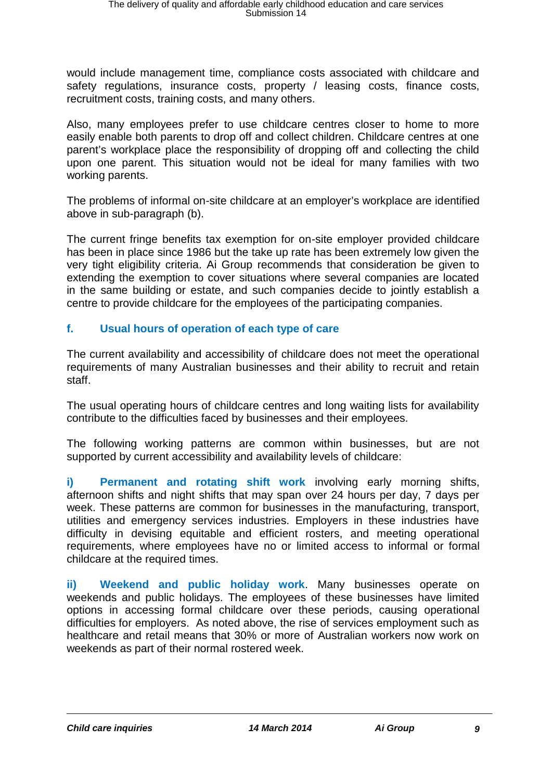would include management time, compliance costs associated with childcare and safety regulations, insurance costs, property / leasing costs, finance costs, recruitment costs, training costs, and many others.

Also, many employees prefer to use childcare centres closer to home to more easily enable both parents to drop off and collect children. Childcare centres at one parent's workplace place the responsibility of dropping off and collecting the child upon one parent. This situation would not be ideal for many families with two working parents.

The problems of informal on-site childcare at an employer's workplace are identified above in sub-paragraph (b).

The current fringe benefits tax exemption for on-site employer provided childcare has been in place since 1986 but the take up rate has been extremely low given the very tight eligibility criteria. Ai Group recommends that consideration be given to extending the exemption to cover situations where several companies are located in the same building or estate, and such companies decide to jointly establish a centre to provide childcare for the employees of the participating companies.

## **f. Usual hours of operation of each type of care**

The current availability and accessibility of childcare does not meet the operational requirements of many Australian businesses and their ability to recruit and retain staff.

The usual operating hours of childcare centres and long waiting lists for availability contribute to the difficulties faced by businesses and their employees.

The following working patterns are common within businesses, but are not supported by current accessibility and availability levels of childcare:

**i) Permanent and rotating shift work** involving early morning shifts, afternoon shifts and night shifts that may span over 24 hours per day, 7 days per week. These patterns are common for businesses in the manufacturing, transport, utilities and emergency services industries. Employers in these industries have difficulty in devising equitable and efficient rosters, and meeting operational requirements, where employees have no or limited access to informal or formal childcare at the required times.

**ii) Weekend and public holiday work**. Many businesses operate on weekends and public holidays. The employees of these businesses have limited options in accessing formal childcare over these periods, causing operational difficulties for employers. As noted above, the rise of services employment such as healthcare and retail means that 30% or more of Australian workers now work on weekends as part of their normal rostered week.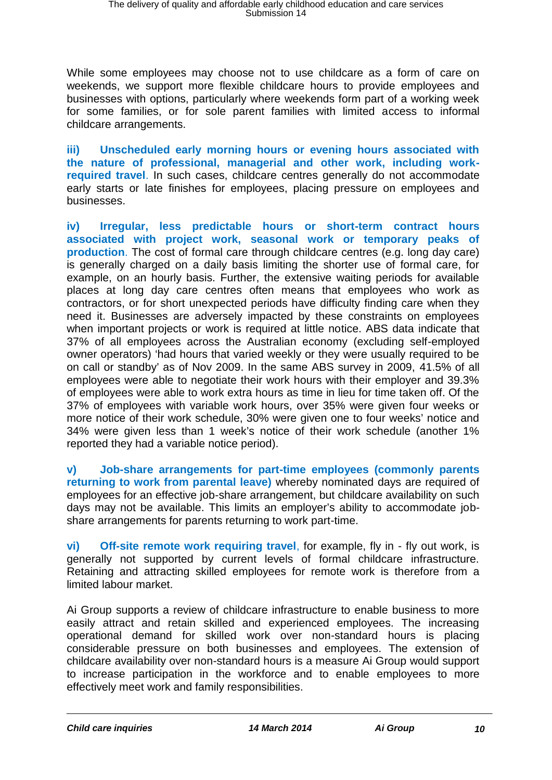While some employees may choose not to use childcare as a form of care on weekends, we support more flexible childcare hours to provide employees and businesses with options, particularly where weekends form part of a working week for some families, or for sole parent families with limited access to informal childcare arrangements.

**iii) Unscheduled early morning hours or evening hours associated with the nature of professional, managerial and other work, including work required travel**. In such cases, childcare centres generally do not accommodate early starts or late finishes for employees, placing pressure on employees and businesses.

**iv) Irregular, less predictable hours or short-term contract hours associated with project work, seasonal work or temporary peaks of production**. The cost of formal care through childcare centres (e.g. long day care) is generally charged on a daily basis limiting the shorter use of formal care, for example, on an hourly basis. Further, the extensive waiting periods for available places at long day care centres often means that employees who work as contractors, or for short unexpected periods have difficulty finding care when they need it. Businesses are adversely impacted by these constraints on employees when important projects or work is required at little notice. ABS data indicate that 37% of all employees across the Australian economy (excluding self-employed owner operators) 'had hours that varied weekly or they were usually required to be on call or standby' as of Nov 2009. In the same ABS survey in 2009, 41.5% of all employees were able to negotiate their work hours with their employer and 39.3% of employees were able to work extra hours as time in lieu for time taken off. Of the 37% of employees with variable work hours, over 35% were given four weeks or more notice of their work schedule, 30% were given one to four weeks' notice and 34% were given less than 1 week's notice of their work schedule (another 1% reported they had a variable notice period).

**v) Job-share arrangements for part-time employees (commonly parents returning to work from parental leave)** whereby nominated days are required of employees for an effective job-share arrangement, but childcare availability on such days may not be available. This limits an employer's ability to accommodate job share arrangements for parents returning to work part-time.

**vi) Off-site remote work requiring travel**, for example, fly in - fly out work, is generally not supported by current levels of formal childcare infrastructure. Retaining and attracting skilled employees for remote work is therefore from a limited labour market.

Ai Group supports a review of childcare infrastructure to enable business to more easily attract and retain skilled and experienced employees. The increasing operational demand for skilled work over non-standard hours is placing considerable pressure on both businesses and employees. The extension of childcare availability over non-standard hours is a measure Ai Group would support to increase participation in the workforce and to enable employees to more effectively meet work and family responsibilities.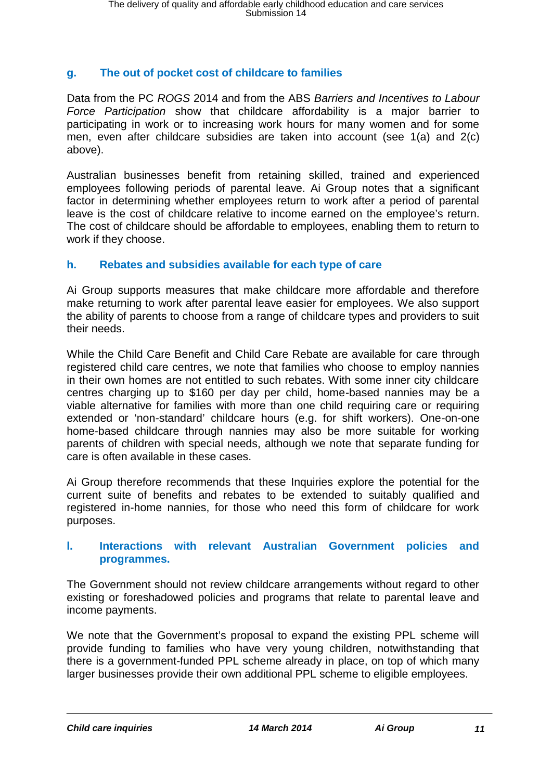## **g. The out of pocket cost of childcare to families**

Data from the PC *ROGS* 2014 and from the ABS *Barriers and Incentives to Labour Force Participation* show that childcare affordability is a major barrier to participating in work or to increasing work hours for many women and for some men, even after childcare subsidies are taken into account (see 1(a) and 2(c) above).

Australian businesses benefit from retaining skilled, trained and experienced employees following periods of parental leave. Ai Group notes that a significant factor in determining whether employees return to work after a period of parental leave is the cost of childcare relative to income earned on the employee's return. The cost of childcare should be affordable to employees, enabling them to return to work if they choose.

## **h. Rebates and subsidies available for each type of care**

Ai Group supports measures that make childcare more affordable and therefore make returning to work after parental leave easier for employees. We also support the ability of parents to choose from a range of childcare types and providers to suit their needs.

While the Child Care Benefit and Child Care Rebate are available for care through registered child care centres, we note that families who choose to employ nannies in their own homes are not entitled to such rebates. With some inner city childcare centres charging up to \$160 per day per child, home-based nannies may be a viable alternative for families with more than one child requiring care or requiring extended or 'non-standard' childcare hours (e.g. for shift workers). One-on-one home-based childcare through nannies may also be more suitable for working parents of children with special needs, although we note that separate funding for care is often available in these cases.

Ai Group therefore recommends that these Inquiries explore the potential for the current suite of benefits and rebates to be extended to suitably qualified and registered in-home nannies, for those who need this form of childcare for work purposes.

### **l. Interactions with relevant Australian Government policies and programmes.**

The Government should not review childcare arrangements without regard to other existing or foreshadowed policies and programs that relate to parental leave and income payments.

We note that the Government's proposal to expand the existing PPL scheme will provide funding to families who have very young children, notwithstanding that there is a government-funded PPL scheme already in place, on top of which many larger businesses provide their own additional PPL scheme to eligible employees.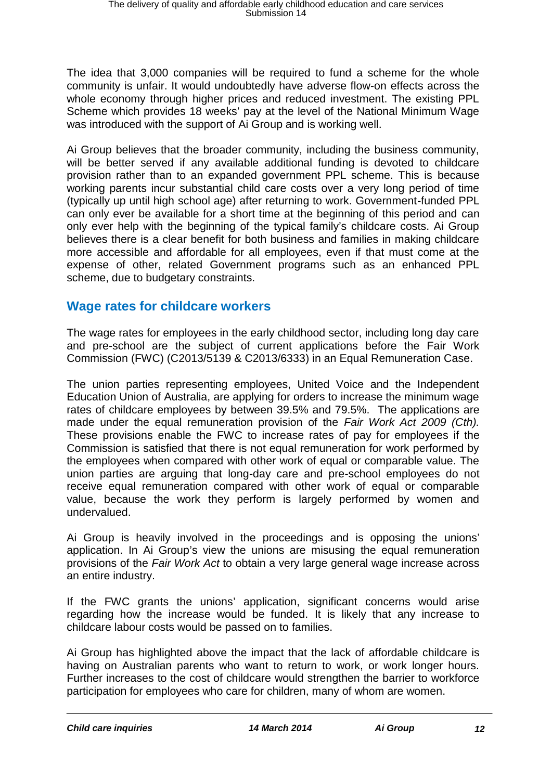The idea that 3,000 companies will be required to fund a scheme for the whole community is unfair. It would undoubtedly have adverse flow-on effects across the whole economy through higher prices and reduced investment. The existing PPL Scheme which provides 18 weeks' pay at the level of the National Minimum Wage was introduced with the support of Ai Group and is working well.

Ai Group believes that the broader community, including the business community, will be better served if any available additional funding is devoted to childcare provision rather than to an expanded government PPL scheme. This is because working parents incur substantial child care costs over a very long period of time (typically up until high school age) after returning to work. Government-funded PPL can only ever be available for a short time at the beginning of this period and can only ever help with the beginning of the typical family's childcare costs. Ai Group believes there is a clear benefit for both business and families in making childcare more accessible and affordable for all employees, even if that must come at the expense of other, related Government programs such as an enhanced PPL scheme, due to budgetary constraints.

## **Wage rates for childcare workers**

The wage rates for employees in the early childhood sector, including long day care and pre-school are the subject of current applications before the Fair Work Commission (FWC) (C2013/5139 & C2013/6333) in an Equal Remuneration Case.

The union parties representing employees, United Voice and the Independent Education Union of Australia, are applying for orders to increase the minimum wage rates of childcare employees by between 39.5% and 79.5%. The applications are made under the equal remuneration provision of the *Fair Work Act 2009 (Cth).* These provisions enable the FWC to increase rates of pay for employees if the Commission is satisfied that there is not equal remuneration for work performed by the employees when compared with other work of equal or comparable value. The union parties are arguing that long-day care and pre-school employees do not receive equal remuneration compared with other work of equal or comparable value, because the work they perform is largely performed by women and undervalued.

Ai Group is heavily involved in the proceedings and is opposing the unions' application. In Ai Group's view the unions are misusing the equal remuneration provisions of the *Fair Work Act* to obtain a very large general wage increase across an entire industry.

If the FWC grants the unions' application, significant concerns would arise regarding how the increase would be funded. It is likely that any increase to childcare labour costs would be passed on to families.

Ai Group has highlighted above the impact that the lack of affordable childcare is having on Australian parents who want to return to work, or work longer hours. Further increases to the cost of childcare would strengthen the barrier to workforce participation for employees who care for children, many of whom are women.